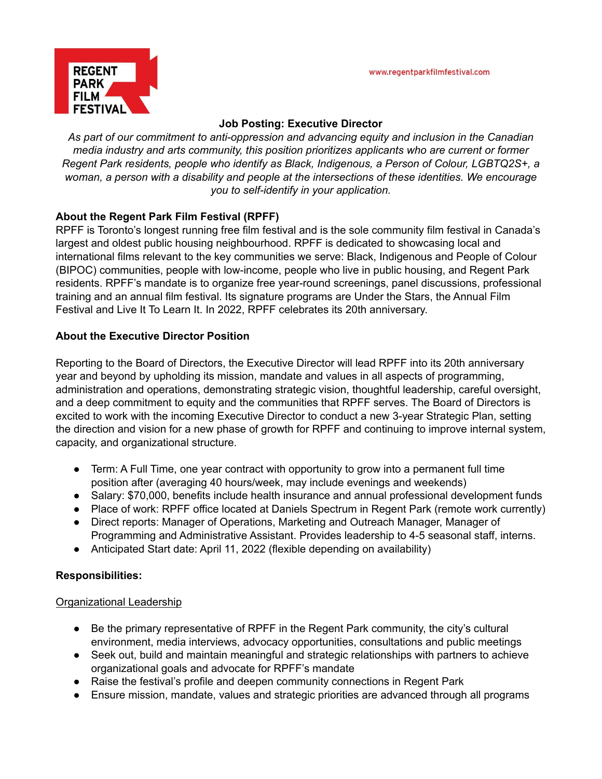

## **Job Posting: Executive Director**

*As part of our commitment to anti-oppression and advancing equity and inclusion in the Canadian media industry and arts community, this position prioritizes applicants who are current or former Regent Park residents, people who identify as Black, Indigenous, a Person of Colour, LGBTQ2S+, a woman, a person with a disability and people at the intersections of these identities. We encourage you to self-identify in your application.*

# **About the Regent Park Film Festival (RPFF)**

RPFF is Toronto's longest running free film festival and is the sole community film festival in Canada's largest and oldest public housing neighbourhood. RPFF is dedicated to showcasing local and international films relevant to the key communities we serve: Black, Indigenous and People of Colour (BIPOC) communities, people with low-income, people who live in public housing, and Regent Park residents. RPFF's mandate is to organize free year-round screenings, panel discussions, professional training and an annual film festival. Its signature programs are Under the Stars, the Annual Film Festival and Live It To Learn It. In 2022, RPFF celebrates its 20th anniversary.

# **About the Executive Director Position**

Reporting to the Board of Directors, the Executive Director will lead RPFF into its 20th anniversary year and beyond by upholding its mission, mandate and values in all aspects of programming, administration and operations, demonstrating strategic vision, thoughtful leadership, careful oversight, and a deep commitment to equity and the communities that RPFF serves. The Board of Directors is excited to work with the incoming Executive Director to conduct a new 3-year Strategic Plan, setting the direction and vision for a new phase of growth for RPFF and continuing to improve internal system, capacity, and organizational structure.

- Term: A Full Time, one year contract with opportunity to grow into a permanent full time position after (averaging 40 hours/week, may include evenings and weekends)
- Salary: \$70,000, benefits include health insurance and annual professional development funds
- Place of work: RPFF office located at Daniels Spectrum in Regent Park (remote work currently)
- Direct reports: Manager of Operations, Marketing and Outreach Manager, Manager of Programming and Administrative Assistant. Provides leadership to 4-5 seasonal staff, interns.
- Anticipated Start date: April 11, 2022 (flexible depending on availability)

## **Responsibilities:**

## Organizational Leadership

- Be the primary representative of RPFF in the Regent Park community, the city's cultural environment, media interviews, advocacy opportunities, consultations and public meetings
- Seek out, build and maintain meaningful and strategic relationships with partners to achieve organizational goals and advocate for RPFF's mandate
- Raise the festival's profile and deepen community connections in Regent Park
- Ensure mission, mandate, values and strategic priorities are advanced through all programs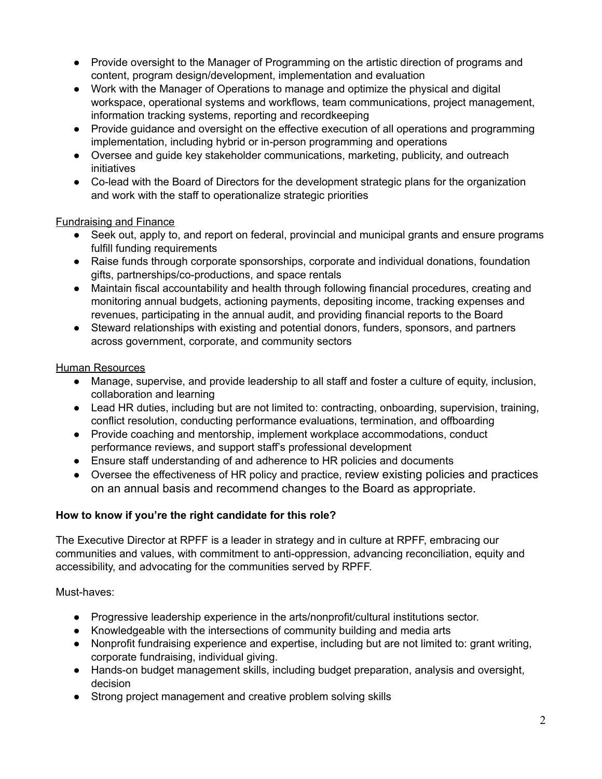- Provide oversight to the Manager of Programming on the artistic direction of programs and content, program design/development, implementation and evaluation
- Work with the Manager of Operations to manage and optimize the physical and digital workspace, operational systems and workflows, team communications, project management, information tracking systems, reporting and recordkeeping
- Provide guidance and oversight on the effective execution of all operations and programming implementation, including hybrid or in-person programming and operations
- Oversee and guide key stakeholder communications, marketing, publicity, and outreach initiatives
- Co-lead with the Board of Directors for the development strategic plans for the organization and work with the staff to operationalize strategic priorities

## Fundraising and Finance

- Seek out, apply to, and report on federal, provincial and municipal grants and ensure programs fulfill funding requirements
- Raise funds through corporate sponsorships, corporate and individual donations, foundation gifts, partnerships/co-productions, and space rentals
- Maintain fiscal accountability and health through following financial procedures, creating and monitoring annual budgets, actioning payments, depositing income, tracking expenses and revenues, participating in the annual audit, and providing financial reports to the Board
- Steward relationships with existing and potential donors, funders, sponsors, and partners across government, corporate, and community sectors

## Human Resources

- Manage, supervise, and provide leadership to all staff and foster a culture of equity, inclusion, collaboration and learning
- Lead HR duties, including but are not limited to: contracting, onboarding, supervision, training, conflict resolution, conducting performance evaluations, termination, and offboarding
- Provide coaching and mentorship, implement workplace accommodations, conduct performance reviews, and support staff's professional development
- Ensure staff understanding of and adherence to HR policies and documents
- Oversee the effectiveness of HR policy and practice, review existing policies and practices on an annual basis and recommend changes to the Board as appropriate.

## **How to know if you're the right candidate for this role?**

The Executive Director at RPFF is a leader in strategy and in culture at RPFF, embracing our communities and values, with commitment to anti-oppression, advancing reconciliation, equity and accessibility, and advocating for the communities served by RPFF.

Must-haves:

- Progressive leadership experience in the arts/nonprofit/cultural institutions sector.
- Knowledgeable with the intersections of community building and media arts
- Nonprofit fundraising experience and expertise, including but are not limited to: grant writing, corporate fundraising, individual giving.
- Hands-on budget management skills, including budget preparation, analysis and oversight, decision
- Strong project management and creative problem solving skills